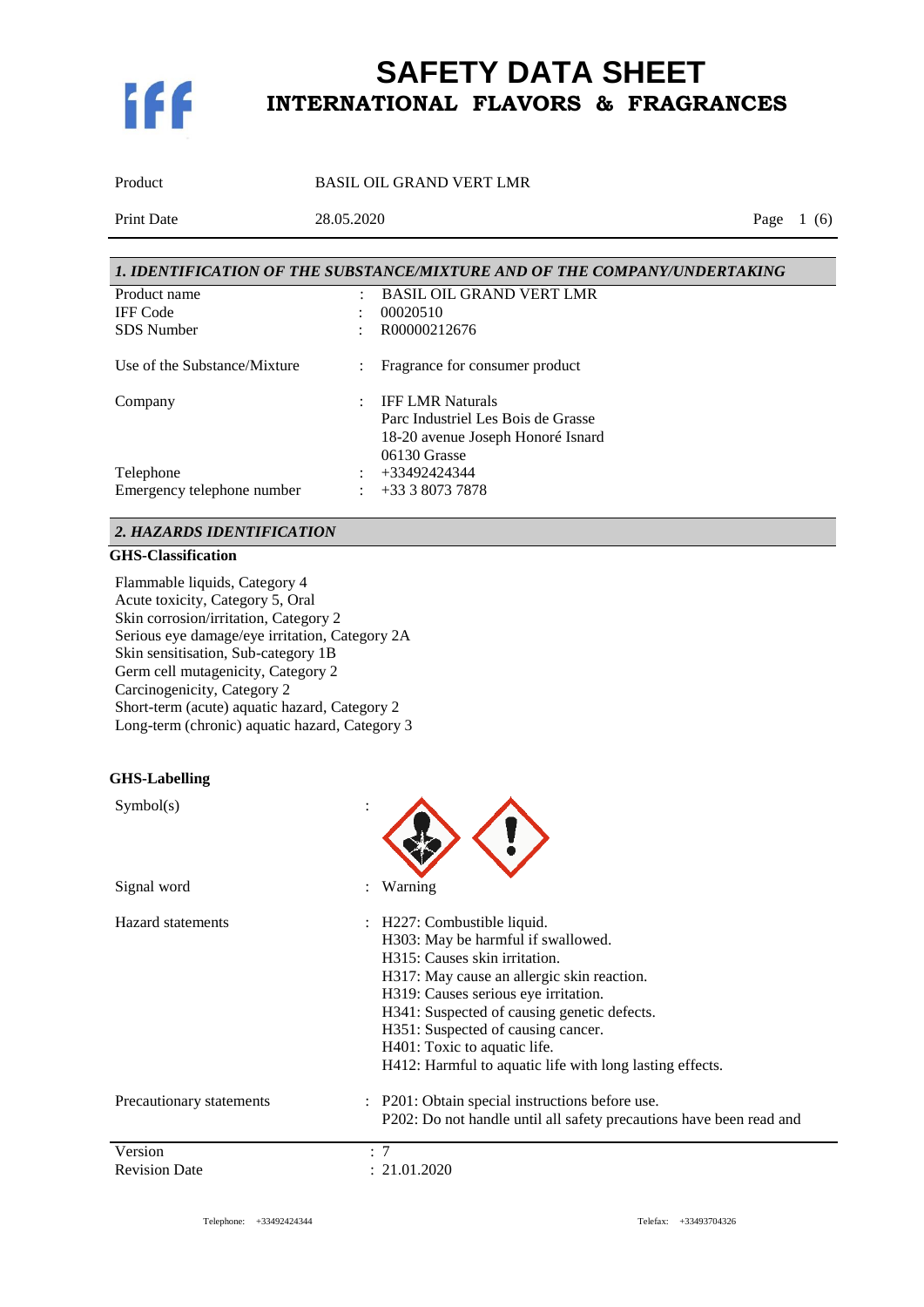

Product BASIL OIL GRAND VERT LMR

Print Date 28.05.2020 Page 1 (6)

| 1. IDENTIFICATION OF THE SUBSTANCE/MIXTURE AND OF THE COMPANY/UNDERTAKING |  |                                    |  |
|---------------------------------------------------------------------------|--|------------------------------------|--|
| Product name                                                              |  | <b>BASIL OIL GRAND VERT LMR</b>    |  |
| <b>IFF</b> Code                                                           |  | 00020510                           |  |
| <b>SDS</b> Number                                                         |  | R00000212676                       |  |
| Use of the Substance/Mixture                                              |  | Fragrance for consumer product     |  |
| Company                                                                   |  | <b>IFF LMR Naturals</b>            |  |
|                                                                           |  | Parc Industriel Les Bois de Grasse |  |
|                                                                           |  | 18-20 avenue Joseph Honoré Isnard  |  |
|                                                                           |  | 06130 Grasse                       |  |
| Telephone                                                                 |  | +33492424344                       |  |
| Emergency telephone number                                                |  | $+333380737878$                    |  |

### *2. HAZARDS IDENTIFICATION*

### **GHS-Classification**

Flammable liquids, Category 4 Acute toxicity, Category 5, Oral Skin corrosion/irritation, Category 2 Serious eye damage/eye irritation, Category 2A Skin sensitisation, Sub-category 1B Germ cell mutagenicity, Category 2 Carcinogenicity, Category 2 Short-term (acute) aquatic hazard, Category 2 Long-term (chronic) aquatic hazard, Category 3

### **GHS-Labelling**

| Symbol(s)                       |                                                                                                                                                                                                                                                                                                                                                                         |
|---------------------------------|-------------------------------------------------------------------------------------------------------------------------------------------------------------------------------------------------------------------------------------------------------------------------------------------------------------------------------------------------------------------------|
| Signal word                     | Warning                                                                                                                                                                                                                                                                                                                                                                 |
| <b>Hazard</b> statements        | H227: Combustible liquid.<br>H303: May be harmful if swallowed.<br>H315: Causes skin irritation.<br>H317: May cause an allergic skin reaction.<br>H319: Causes serious eye irritation.<br>H341: Suspected of causing genetic defects.<br>H351: Suspected of causing cancer.<br>H401: Toxic to aquatic life.<br>H412: Harmful to aquatic life with long lasting effects. |
| Precautionary statements        | : P201: Obtain special instructions before use.<br>P202: Do not handle until all safety precautions have been read and                                                                                                                                                                                                                                                  |
| Version<br><b>Revision Date</b> | : 7<br>: 21.01.2020                                                                                                                                                                                                                                                                                                                                                     |
|                                 |                                                                                                                                                                                                                                                                                                                                                                         |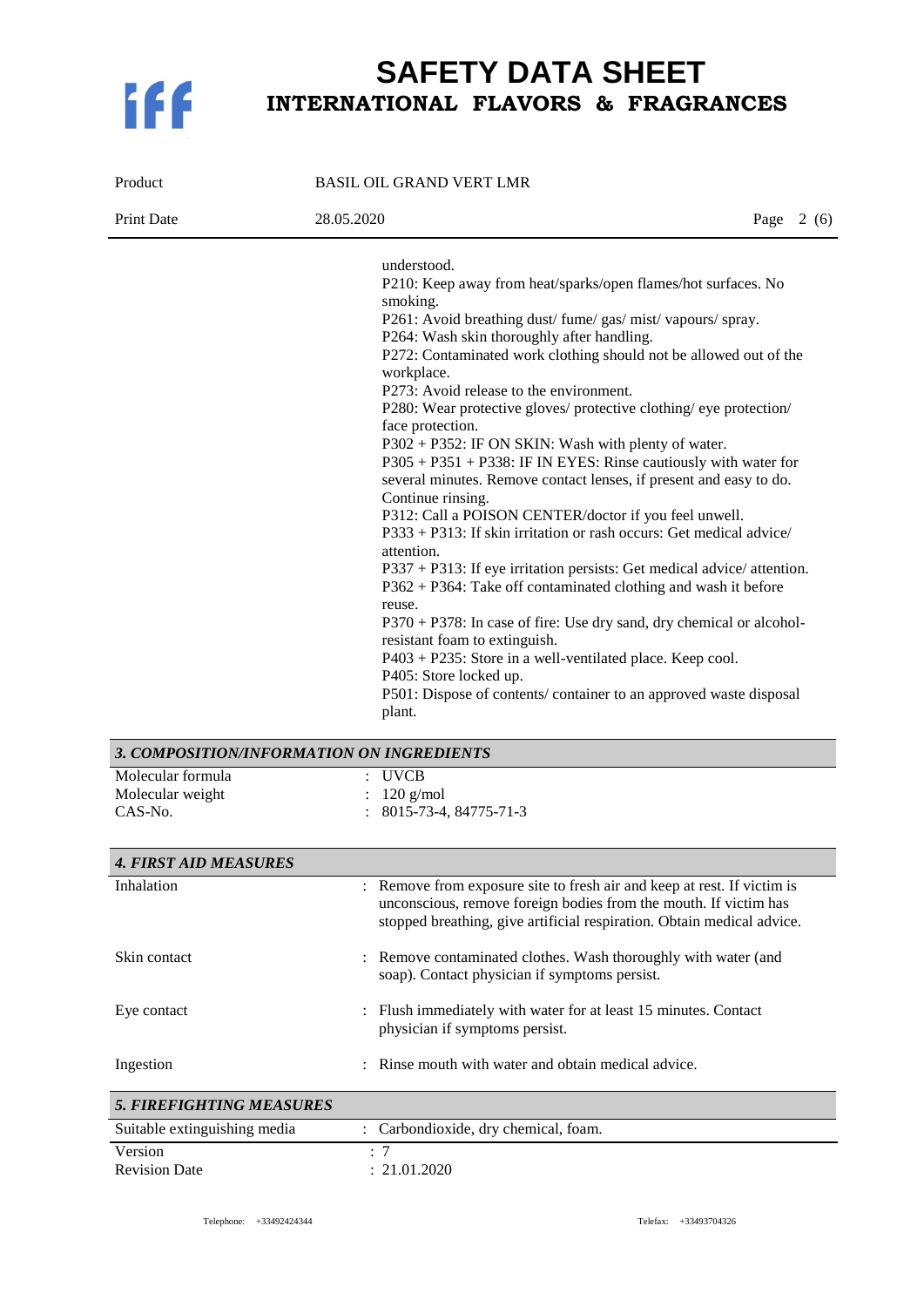

| Product           | <b>BASIL OIL GRAND VERT LMR</b>                                                                                                                                                                                                                                                                                                                                                                                                                                                                                                                                                                                                                                                                                                                                                                                                                                                                                                                                                                                                                                                                                                                                                                                                                  |  |
|-------------------|--------------------------------------------------------------------------------------------------------------------------------------------------------------------------------------------------------------------------------------------------------------------------------------------------------------------------------------------------------------------------------------------------------------------------------------------------------------------------------------------------------------------------------------------------------------------------------------------------------------------------------------------------------------------------------------------------------------------------------------------------------------------------------------------------------------------------------------------------------------------------------------------------------------------------------------------------------------------------------------------------------------------------------------------------------------------------------------------------------------------------------------------------------------------------------------------------------------------------------------------------|--|
| <b>Print Date</b> | 28.05.2020<br>Page $2(6)$                                                                                                                                                                                                                                                                                                                                                                                                                                                                                                                                                                                                                                                                                                                                                                                                                                                                                                                                                                                                                                                                                                                                                                                                                        |  |
|                   | understood.<br>P210: Keep away from heat/sparks/open flames/hot surfaces. No<br>smoking.<br>P261: Avoid breathing dust/ fume/ gas/ mist/ vapours/ spray.<br>P264: Wash skin thoroughly after handling.<br>P272: Contaminated work clothing should not be allowed out of the<br>workplace.<br>P273: Avoid release to the environment.<br>P280: Wear protective gloves/ protective clothing/ eye protection/<br>face protection.<br>P302 + P352: IF ON SKIN: Wash with plenty of water.<br>P305 + P351 + P338: IF IN EYES: Rinse cautiously with water for<br>several minutes. Remove contact lenses, if present and easy to do.<br>Continue rinsing.<br>P312: Call a POISON CENTER/doctor if you feel unwell.<br>P333 + P313: If skin irritation or rash occurs: Get medical advice/<br>attention.<br>$P337 + P313$ : If eye irritation persists: Get medical advice/attention.<br>$P362 + P364$ : Take off contaminated clothing and wash it before<br>reuse.<br>$P370 + P378$ : In case of fire: Use dry sand, dry chemical or alcohol-<br>resistant foam to extinguish.<br>P403 + P235: Store in a well-ventilated place. Keep cool.<br>P405: Store locked up.<br>P501: Dispose of contents/ container to an approved waste disposal<br>plant. |  |

| 3. COMPOSITION/INFORMATION ON INGREDIENTS |  |                                    |
|-------------------------------------------|--|------------------------------------|
| Molecular formula                         |  | $\pm$ UVCB.                        |
| Molecular weight                          |  | $: 120$ g/mol                      |
| CAS-No.                                   |  | $\therefore$ 8015-73-4, 84775-71-3 |

| <b>4. FIRST AID MEASURES</b>    |                                                                                                                                                                                                                       |
|---------------------------------|-----------------------------------------------------------------------------------------------------------------------------------------------------------------------------------------------------------------------|
| Inhalation                      | : Remove from exposure site to fresh air and keep at rest. If victim is<br>unconscious, remove foreign bodies from the mouth. If victim has<br>stopped breathing, give artificial respiration. Obtain medical advice. |
| Skin contact                    | : Remove contaminated clothes. Wash thoroughly with water (and<br>soap). Contact physician if symptoms persist.                                                                                                       |
| Eye contact                     | : Flush immediately with water for at least 15 minutes. Contact<br>physician if symptoms persist.                                                                                                                     |
| Ingestion                       | Rinse mouth with water and obtain medical advice.<br>٠                                                                                                                                                                |
| <b>5. FIREFIGHTING MEASURES</b> |                                                                                                                                                                                                                       |
| Suitable extinguishing media    | : Carbondioxide, dry chemical, foam.                                                                                                                                                                                  |
| Version                         | : 7                                                                                                                                                                                                                   |
| <b>Revision Date</b>            | : 21.01.2020                                                                                                                                                                                                          |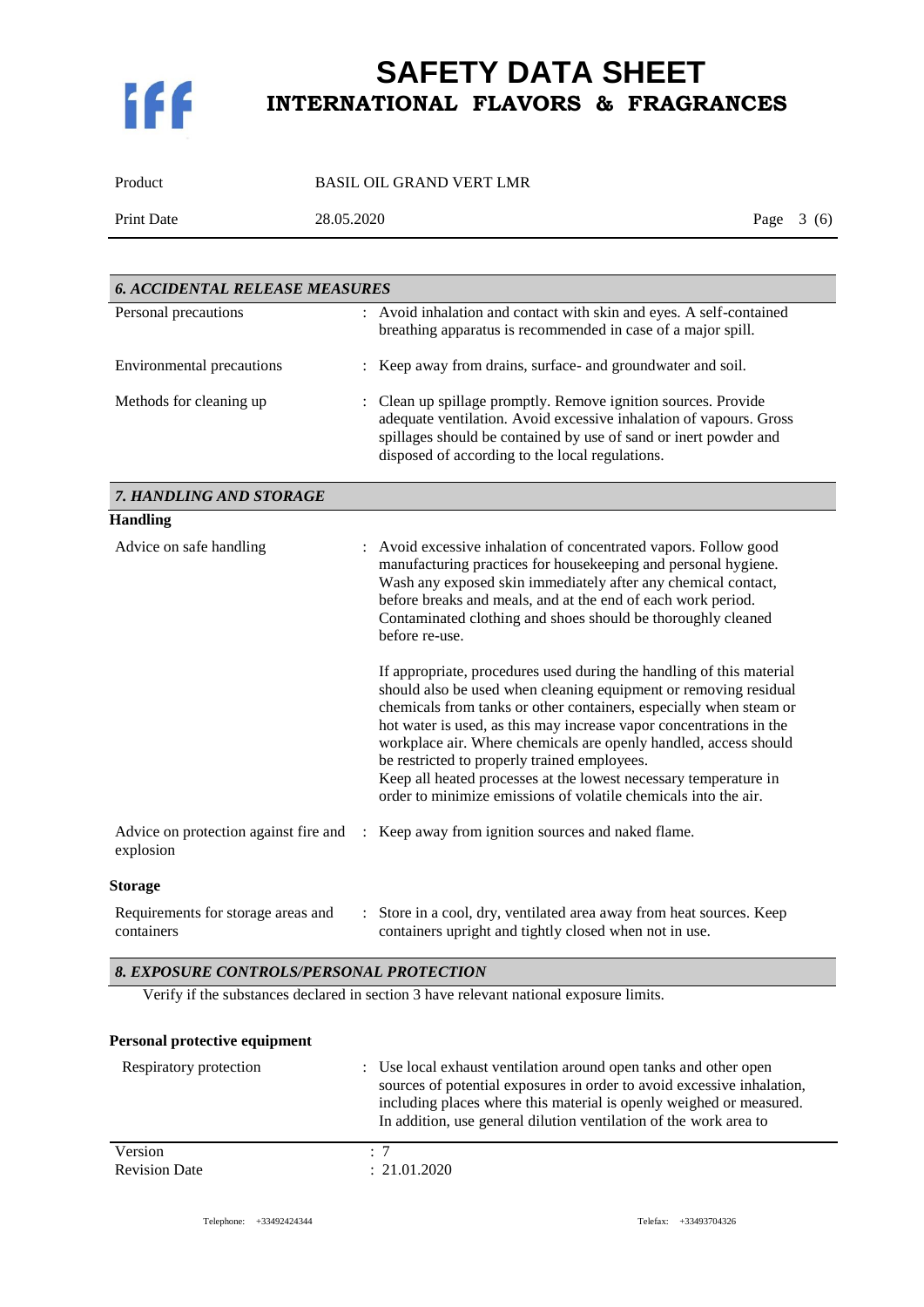

#### Product BASIL OIL GRAND VERT LMR

Print Date 28.05.2020 Page 3 (6)

| <b>6. ACCIDENTAL RELEASE MEASURES</b>              |                                                                                                                                                                                                                                                                                                                                                                                                                                                                                                                                                  |  |
|----------------------------------------------------|--------------------------------------------------------------------------------------------------------------------------------------------------------------------------------------------------------------------------------------------------------------------------------------------------------------------------------------------------------------------------------------------------------------------------------------------------------------------------------------------------------------------------------------------------|--|
| Personal precautions                               | : Avoid inhalation and contact with skin and eyes. A self-contained<br>breathing apparatus is recommended in case of a major spill.                                                                                                                                                                                                                                                                                                                                                                                                              |  |
| Environmental precautions                          | Keep away from drains, surface- and groundwater and soil.                                                                                                                                                                                                                                                                                                                                                                                                                                                                                        |  |
| Methods for cleaning up                            | Clean up spillage promptly. Remove ignition sources. Provide<br>adequate ventilation. Avoid excessive inhalation of vapours. Gross<br>spillages should be contained by use of sand or inert powder and<br>disposed of according to the local regulations.                                                                                                                                                                                                                                                                                        |  |
| 7. HANDLING AND STORAGE                            |                                                                                                                                                                                                                                                                                                                                                                                                                                                                                                                                                  |  |
| <b>Handling</b>                                    |                                                                                                                                                                                                                                                                                                                                                                                                                                                                                                                                                  |  |
| Advice on safe handling                            | : Avoid excessive inhalation of concentrated vapors. Follow good<br>manufacturing practices for housekeeping and personal hygiene.<br>Wash any exposed skin immediately after any chemical contact,<br>before breaks and meals, and at the end of each work period.<br>Contaminated clothing and shoes should be thoroughly cleaned<br>before re-use.                                                                                                                                                                                            |  |
|                                                    | If appropriate, procedures used during the handling of this material<br>should also be used when cleaning equipment or removing residual<br>chemicals from tanks or other containers, especially when steam or<br>hot water is used, as this may increase vapor concentrations in the<br>workplace air. Where chemicals are openly handled, access should<br>be restricted to properly trained employees.<br>Keep all heated processes at the lowest necessary temperature in<br>order to minimize emissions of volatile chemicals into the air. |  |
| Advice on protection against fire and<br>explosion | : Keep away from ignition sources and naked flame.                                                                                                                                                                                                                                                                                                                                                                                                                                                                                               |  |
| <b>Storage</b>                                     |                                                                                                                                                                                                                                                                                                                                                                                                                                                                                                                                                  |  |
| Requirements for storage areas and<br>containers   | Store in a cool, dry, ventilated area away from heat sources. Keep<br>$\ddot{\phantom{a}}$<br>containers upright and tightly closed when not in use.                                                                                                                                                                                                                                                                                                                                                                                             |  |
| 8. EXPOSURE CONTROLS/PERSONAL PROTECTION           |                                                                                                                                                                                                                                                                                                                                                                                                                                                                                                                                                  |  |
|                                                    | Verify if the substances declared in section 3 have relevant national exposure limits.                                                                                                                                                                                                                                                                                                                                                                                                                                                           |  |
| Personal protective equipment                      |                                                                                                                                                                                                                                                                                                                                                                                                                                                                                                                                                  |  |
|                                                    |                                                                                                                                                                                                                                                                                                                                                                                                                                                                                                                                                  |  |
| Respiratory protection                             | : Use local exhaust ventilation around open tanks and other open<br>sources of potential exposures in order to avoid excessive inhalation,<br>including places where this material is openly weighed or measured.<br>In addition, use general dilution ventilation of the work area to                                                                                                                                                                                                                                                           |  |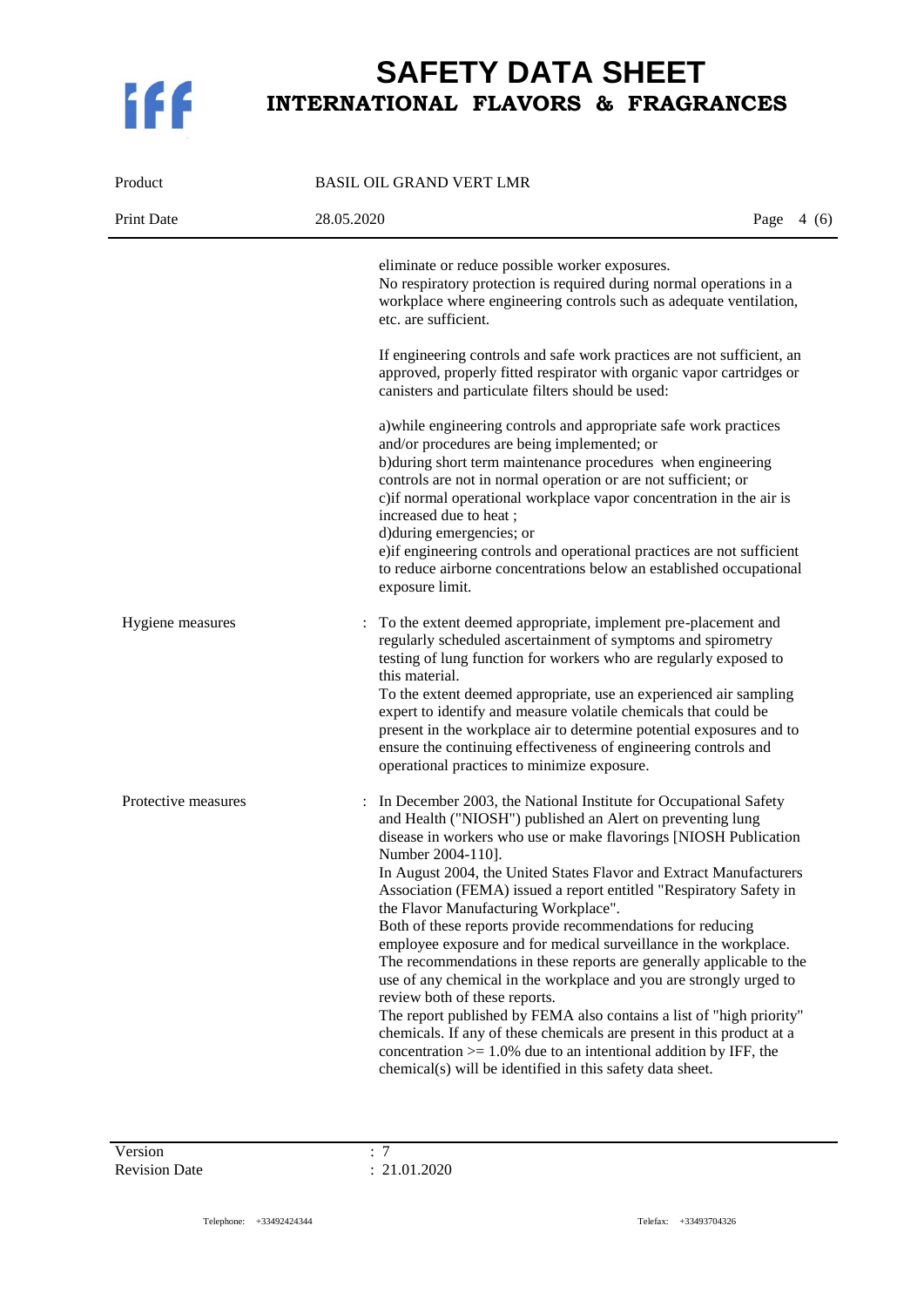

| Product             | <b>BASIL OIL GRAND VERT LMR</b>                                                                                                                                                                                                                                                                                                                                                                                                                                                                                                                                                                                                                                                                                                                                                                                                                                                                                                                                                                                    |  |
|---------------------|--------------------------------------------------------------------------------------------------------------------------------------------------------------------------------------------------------------------------------------------------------------------------------------------------------------------------------------------------------------------------------------------------------------------------------------------------------------------------------------------------------------------------------------------------------------------------------------------------------------------------------------------------------------------------------------------------------------------------------------------------------------------------------------------------------------------------------------------------------------------------------------------------------------------------------------------------------------------------------------------------------------------|--|
| Print Date          | 28.05.2020<br>Page $4(6)$                                                                                                                                                                                                                                                                                                                                                                                                                                                                                                                                                                                                                                                                                                                                                                                                                                                                                                                                                                                          |  |
|                     | eliminate or reduce possible worker exposures.<br>No respiratory protection is required during normal operations in a<br>workplace where engineering controls such as adequate ventilation,<br>etc. are sufficient.                                                                                                                                                                                                                                                                                                                                                                                                                                                                                                                                                                                                                                                                                                                                                                                                |  |
|                     | If engineering controls and safe work practices are not sufficient, an<br>approved, properly fitted respirator with organic vapor cartridges or<br>canisters and particulate filters should be used:                                                                                                                                                                                                                                                                                                                                                                                                                                                                                                                                                                                                                                                                                                                                                                                                               |  |
|                     | a) while engineering controls and appropriate safe work practices<br>and/or procedures are being implemented; or<br>b)during short term maintenance procedures when engineering<br>controls are not in normal operation or are not sufficient; or<br>c) if normal operational workplace vapor concentration in the air is<br>increased due to heat;<br>d) during emergencies; or<br>e) if engineering controls and operational practices are not sufficient<br>to reduce airborne concentrations below an established occupational<br>exposure limit.                                                                                                                                                                                                                                                                                                                                                                                                                                                              |  |
| Hygiene measures    | To the extent deemed appropriate, implement pre-placement and<br>$\ddot{\cdot}$<br>regularly scheduled ascertainment of symptoms and spirometry<br>testing of lung function for workers who are regularly exposed to<br>this material.<br>To the extent deemed appropriate, use an experienced air sampling<br>expert to identify and measure volatile chemicals that could be<br>present in the workplace air to determine potential exposures and to<br>ensure the continuing effectiveness of engineering controls and<br>operational practices to minimize exposure.                                                                                                                                                                                                                                                                                                                                                                                                                                           |  |
| Protective measures | In December 2003, the National Institute for Occupational Safety<br>and Health ("NIOSH") published an Alert on preventing lung<br>disease in workers who use or make flavorings [NIOSH Publication<br>Number 2004-110].<br>In August 2004, the United States Flavor and Extract Manufacturers<br>Association (FEMA) issued a report entitled "Respiratory Safety in<br>the Flavor Manufacturing Workplace".<br>Both of these reports provide recommendations for reducing<br>employee exposure and for medical surveillance in the workplace.<br>The recommendations in these reports are generally applicable to the<br>use of any chemical in the workplace and you are strongly urged to<br>review both of these reports.<br>The report published by FEMA also contains a list of "high priority"<br>chemicals. If any of these chemicals are present in this product at a<br>concentration $> = 1.0\%$ due to an intentional addition by IFF, the<br>chemical(s) will be identified in this safety data sheet. |  |

Version : 7<br>Revision Date : 21.01.2020 Revision Date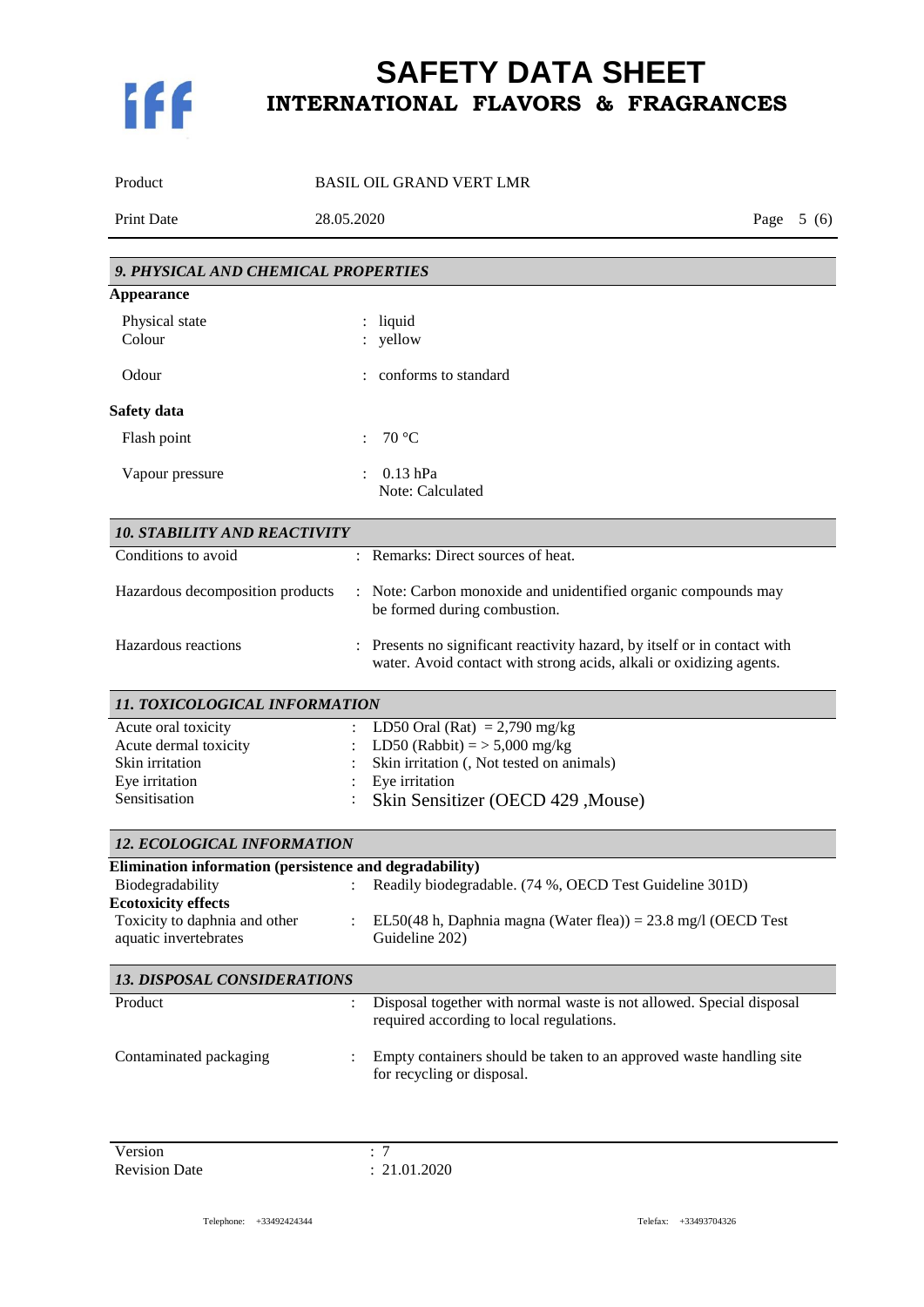

| Product                                                                              | <b>BASIL OIL GRAND VERT LMR</b>                                                                                                                |  |
|--------------------------------------------------------------------------------------|------------------------------------------------------------------------------------------------------------------------------------------------|--|
| <b>Print Date</b>                                                                    | 28.05.2020                                                                                                                                     |  |
| 9. PHYSICAL AND CHEMICAL PROPERTIES                                                  |                                                                                                                                                |  |
| Appearance                                                                           |                                                                                                                                                |  |
| Physical state<br>Colour                                                             | $:$ liquid<br>yellow                                                                                                                           |  |
| Odour                                                                                | conforms to standard                                                                                                                           |  |
| <b>Safety data</b>                                                                   |                                                                                                                                                |  |
| Flash point                                                                          | 70 °C                                                                                                                                          |  |
| Vapour pressure                                                                      | $0.13$ hPa<br>Note: Calculated                                                                                                                 |  |
| <b>10. STABILITY AND REACTIVITY</b>                                                  |                                                                                                                                                |  |
| Conditions to avoid                                                                  | : Remarks: Direct sources of heat.                                                                                                             |  |
| Hazardous decomposition products                                                     | : Note: Carbon monoxide and unidentified organic compounds may<br>be formed during combustion.                                                 |  |
| Hazardous reactions                                                                  | Presents no significant reactivity hazard, by itself or in contact with<br>water. Avoid contact with strong acids, alkali or oxidizing agents. |  |
| 11. TOXICOLOGICAL INFORMATION                                                        |                                                                                                                                                |  |
| Acute oral toxicity                                                                  | LD50 Oral (Rat) = $2,790$ mg/kg                                                                                                                |  |
| Acute dermal toxicity                                                                | LD50 (Rabbit) = $>$ 5,000 mg/kg                                                                                                                |  |
| Skin irritation                                                                      | Skin irritation (, Not tested on animals)                                                                                                      |  |
| Eye irritation<br>Sensitisation                                                      | Eye irritation<br>Skin Sensitizer (OECD 429, Mouse)                                                                                            |  |
| 12. ECOLOGICAL INFORMATION                                                           |                                                                                                                                                |  |
| Elimination information (persistence and degradability)                              |                                                                                                                                                |  |
| Biodegradability                                                                     | Readily biodegradable. (74 %, OECD Test Guideline 301D)                                                                                        |  |
| <b>Ecotoxicity effects</b><br>Toxicity to daphnia and other<br>aquatic invertebrates | EL50(48 h, Daphnia magna (Water flea)) = $23.8 \text{ mg/l}$ (OECD Test<br>$\ddot{\cdot}$<br>Guideline 202)                                    |  |
| <b>13. DISPOSAL CONSIDERATIONS</b>                                                   |                                                                                                                                                |  |
| Product                                                                              | Disposal together with normal waste is not allowed. Special disposal<br>$\ddot{\cdot}$<br>required according to local regulations.             |  |
| Contaminated packaging                                                               | Empty containers should be taken to an approved waste handling site<br>for recycling or disposal.                                              |  |
|                                                                                      |                                                                                                                                                |  |
| Varsion                                                                              | $\mathcal{I}$                                                                                                                                  |  |